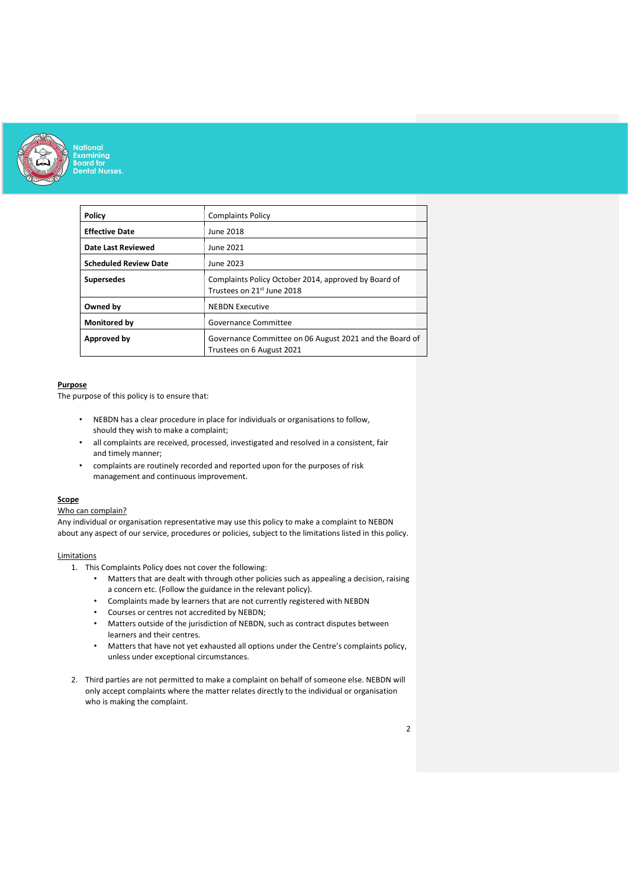

| Policy                       | <b>Complaints Policy</b>                                                             |
|------------------------------|--------------------------------------------------------------------------------------|
| <b>Effective Date</b>        | June 2018                                                                            |
| <b>Date Last Reviewed</b>    | June 2021                                                                            |
| <b>Scheduled Review Date</b> | June 2023                                                                            |
| <b>Supersedes</b>            | Complaints Policy October 2014, approved by Board of<br>Trustees on 21st June 2018   |
| Owned by                     | <b>NEBDN Executive</b>                                                               |
| Monitored by                 | Governance Committee                                                                 |
| Approved by                  | Governance Committee on 06 August 2021 and the Board of<br>Trustees on 6 August 2021 |

# Purpose

The purpose of this policy is to ensure that:

- NEBDN has a clear procedure in place for individuals or organisations to follow, should they wish to make a complaint;
- all complaints are received, processed, investigated and resolved in a consistent, fair and timely manner;
- complaints are routinely recorded and reported upon for the purposes of risk management and continuous improvement.

# **Scope**

# Who can complain?

Any individual or organisation representative may use this policy to make a complaint to NEBDN about any aspect of our service, procedures or policies, subject to the limitations listed in this policy.

### **Limitations**

- 1. This Complaints Policy does not cover the following:
	- Matters that are dealt with through other policies such as appealing a decision, raising a concern etc. (Follow the guidance in the relevant policy).
	- Complaints made by learners that are not currently registered with NEBDN
	- Courses or centres not accredited by NEBDN;
	- Matters outside of the jurisdiction of NEBDN, such as contract disputes between learners and their centres.
	- Matters that have not yet exhausted all options under the Centre's complaints policy, unless under exceptional circumstances.
- 2. Third parties are not permitted to make a complaint on behalf of someone else. NEBDN will only accept complaints where the matter relates directly to the individual or organisation who is making the complaint.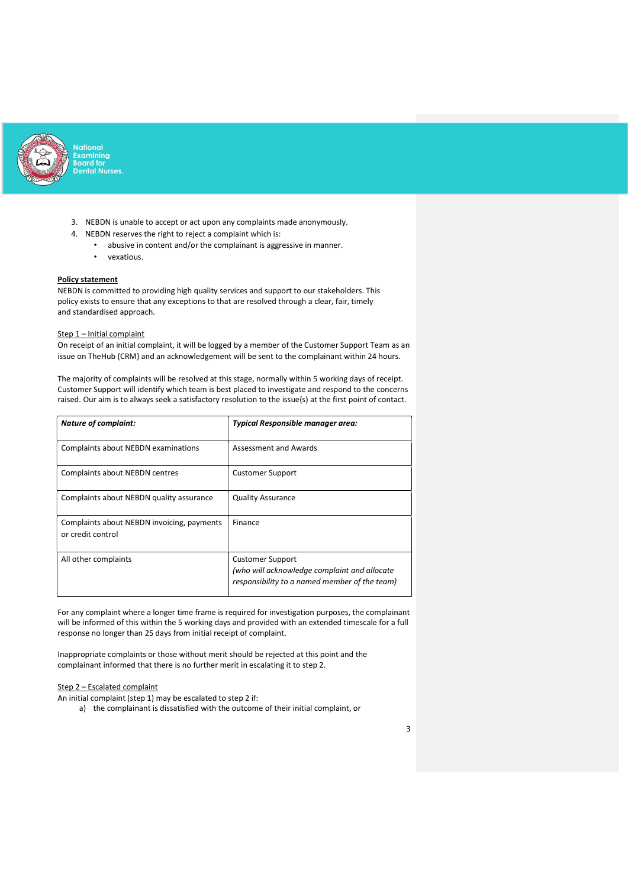

- 3. NEBDN is unable to accept or act upon any complaints made anonymously.
- 4. NEBDN reserves the right to reject a complaint which is:
	- abusive in content and/or the complainant is aggressive in manner.
	- vexatious.

#### Policy statement

NEBDN is committed to providing high quality services and support to our stakeholders. This policy exists to ensure that any exceptions to that are resolved through a clear, fair, timely and standardised approach.

# Step 1 – Initial complaint

On receipt of an initial complaint, it will be logged by a member of the Customer Support Team as an issue on TheHub (CRM) and an acknowledgement will be sent to the complainant within 24 hours.

The majority of complaints will be resolved at this stage, normally within 5 working days of receipt. Customer Support will identify which team is best placed to investigate and respond to the concerns raised. Our aim is to always seek a satisfactory resolution to the issue(s) at the first point of contact.

| <b>Nature of complaint:</b>                                     | <b>Typical Responsible manager area:</b>                                                                                 |
|-----------------------------------------------------------------|--------------------------------------------------------------------------------------------------------------------------|
| Complaints about NEBDN examinations                             | Assessment and Awards                                                                                                    |
| <b>Complaints about NEBDN centres</b>                           | <b>Customer Support</b>                                                                                                  |
| Complaints about NEBDN quality assurance                        | <b>Quality Assurance</b>                                                                                                 |
| Complaints about NEBDN invoicing, payments<br>or credit control | Finance                                                                                                                  |
| All other complaints                                            | <b>Customer Support</b><br>(who will acknowledge complaint and allocate<br>responsibility to a named member of the team) |

 For any complaint where a longer time frame is required for investigation purposes, the complainant will be informed of this within the 5 working days and provided with an extended timescale for a full response no longer than 25 days from initial receipt of complaint.

Inappropriate complaints or those without merit should be rejected at this point and the complainant informed that there is no further merit in escalating it to step 2.

# Step 2 – Escalated complaint

An initial complaint (step 1) may be escalated to step 2 if:

a) the complainant is dissatisfied with the outcome of their initial complaint, or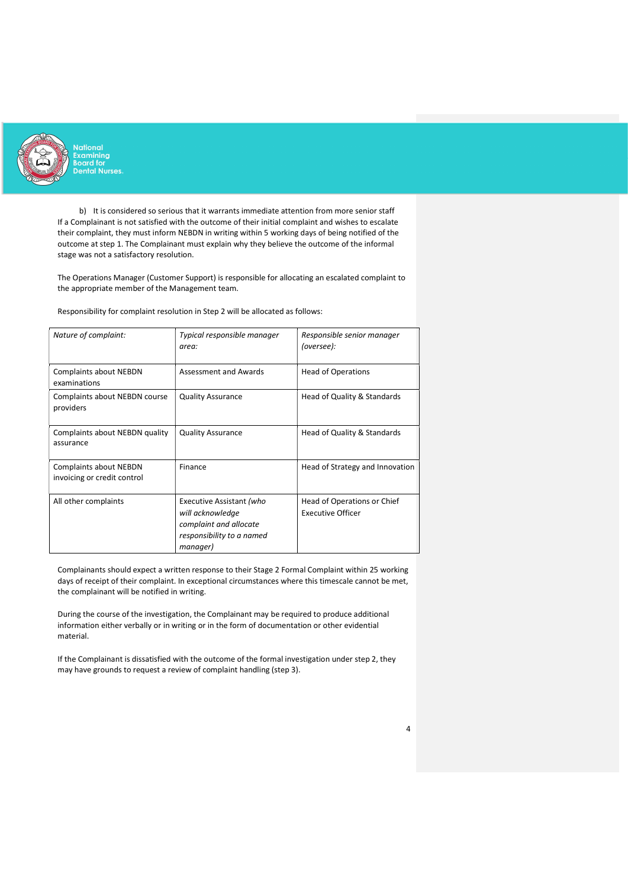

b) It is considered so serious that it warrants immediate attention from more senior staff If a Complainant is not satisfied with the outcome of their initial complaint and wishes to escalate their complaint, they must inform NEBDN in writing within 5 working days of being notified of the outcome at step 1. The Complainant must explain why they believe the outcome of the informal stage was not a satisfactory resolution.

The Operations Manager (Customer Support) is responsible for allocating an escalated complaint to the appropriate member of the Management team.

Responsibility for complaint resolution in Step 2 will be allocated as follows:

| Nature of complaint:                                  | Typical responsible manager<br>area:                                                                            | Responsible senior manager<br>(oversee):                |
|-------------------------------------------------------|-----------------------------------------------------------------------------------------------------------------|---------------------------------------------------------|
| Complaints about NEBDN<br>examinations                | Assessment and Awards                                                                                           | <b>Head of Operations</b>                               |
| Complaints about NEBDN course<br>providers            | <b>Quality Assurance</b>                                                                                        | Head of Quality & Standards                             |
| Complaints about NEBDN quality<br>assurance           | <b>Quality Assurance</b>                                                                                        | Head of Quality & Standards                             |
| Complaints about NEBDN<br>invoicing or credit control | Finance                                                                                                         | Head of Strategy and Innovation                         |
| All other complaints                                  | Executive Assistant (who<br>will acknowledge<br>complaint and allocate<br>responsibility to a named<br>manager) | Head of Operations or Chief<br><b>Executive Officer</b> |

 Complainants should expect a written response to their Stage 2 Formal Complaint within 25 working days of receipt of their complaint. In exceptional circumstances where this timescale cannot be met, the complainant will be notified in writing.

During the course of the investigation, the Complainant may be required to produce additional information either verbally or in writing or in the form of documentation or other evidential material.

 If the Complainant is dissatisfied with the outcome of the formal investigation under step 2, they may have grounds to request a review of complaint handling (step 3).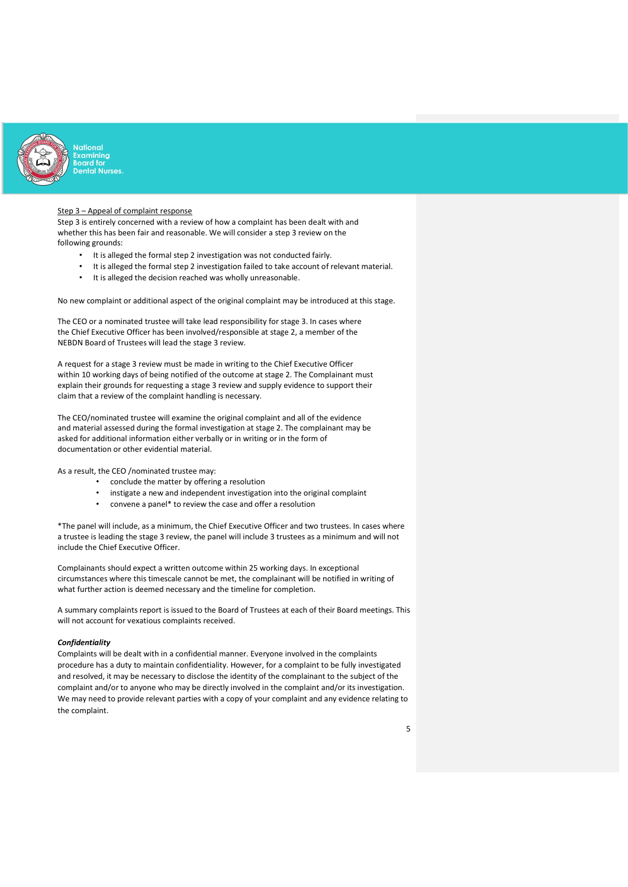

#### Step 3 – Appeal of complaint response

Step 3 is entirely concerned with a review of how a complaint has been dealt with and whether this has been fair and reasonable. We will consider a step 3 review on the following grounds:

- It is alleged the formal step 2 investigation was not conducted fairly.
- It is alleged the formal step 2 investigation failed to take account of relevant material.
- It is alleged the decision reached was wholly unreasonable.

No new complaint or additional aspect of the original complaint may be introduced at this stage.

The CEO or a nominated trustee will take lead responsibility for stage 3. In cases where the Chief Executive Officer has been involved/responsible at stage 2, a member of the NEBDN Board of Trustees will lead the stage 3 review.

 A request for a stage 3 review must be made in writing to the Chief Executive Officer within 10 working days of being notified of the outcome at stage 2. The Complainant must explain their grounds for requesting a stage 3 review and supply evidence to support their claim that a review of the complaint handling is necessary.

 The CEO/nominated trustee will examine the original complaint and all of the evidence and material assessed during the formal investigation at stage 2. The complainant may be asked for additional information either verbally or in writing or in the form of documentation or other evidential material.

As a result, the CEO /nominated trustee may:

- conclude the matter by offering a resolution
- instigate a new and independent investigation into the original complaint
- convene a panel\* to review the case and offer a resolution

\*The panel will include, as a minimum, the Chief Executive Officer and two trustees. In cases where a trustee is leading the stage 3 review, the panel will include 3 trustees as a minimum and will not include the Chief Executive Officer.

 Complainants should expect a written outcome within 25 working days. In exceptional circumstances where this timescale cannot be met, the complainant will be notified in writing of what further action is deemed necessary and the timeline for completion.

A summary complaints report is issued to the Board of Trustees at each of their Board meetings. This will not account for vexatious complaints received.

#### **Confidentiality**

Complaints will be dealt with in a confidential manner. Everyone involved in the complaints procedure has a duty to maintain confidentiality. However, for a complaint to be fully investigated and resolved, it may be necessary to disclose the identity of the complainant to the subject of the complaint and/or to anyone who may be directly involved in the complaint and/or its investigation. We may need to provide relevant parties with a copy of your complaint and any evidence relating to the complaint.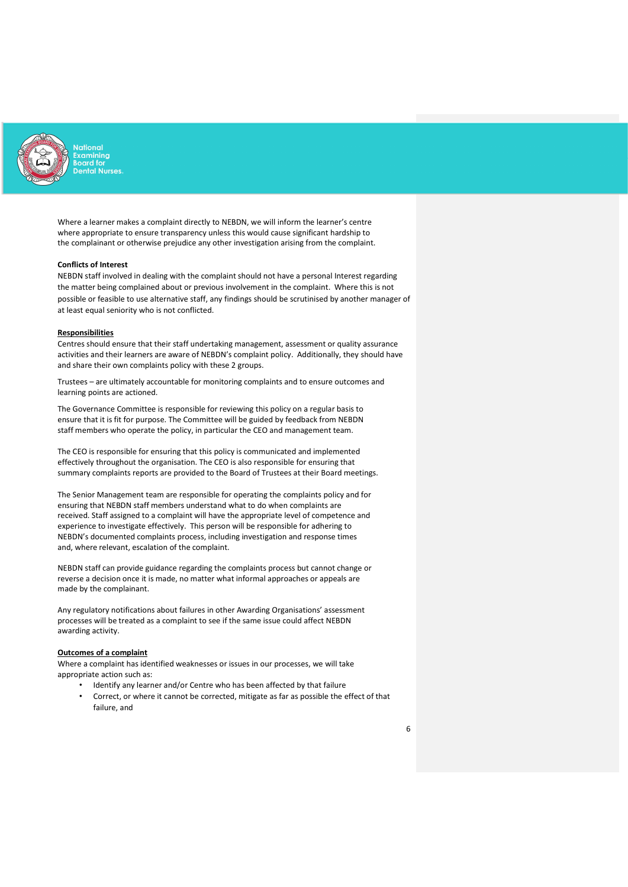

 Where a learner makes a complaint directly to NEBDN, we will inform the learner's centre where appropriate to ensure transparency unless this would cause significant hardship to the complainant or otherwise prejudice any other investigation arising from the complaint.

## Conflicts of Interest

NEBDN staff involved in dealing with the complaint should not have a personal Interest regarding the matter being complained about or previous involvement in the complaint. Where this is not possible or feasible to use alternative staff, any findings should be scrutinised by another manager of at least equal seniority who is not conflicted.

#### **Responsibilities**

Centres should ensure that their staff undertaking management, assessment or quality assurance activities and their learners are aware of NEBDN's complaint policy. Additionally, they should have and share their own complaints policy with these 2 groups.

Trustees – are ultimately accountable for monitoring complaints and to ensure outcomes and learning points are actioned.

The Governance Committee is responsible for reviewing this policy on a regular basis to ensure that it is fit for purpose. The Committee will be guided by feedback from NEBDN staff members who operate the policy, in particular the CEO and management team.

 The CEO is responsible for ensuring that this policy is communicated and implemented effectively throughout the organisation. The CEO is also responsible for ensuring that summary complaints reports are provided to the Board of Trustees at their Board meetings.

The Senior Management team are responsible for operating the complaints policy and for ensuring that NEBDN staff members understand what to do when complaints are received. Staff assigned to a complaint will have the appropriate level of competence and experience to investigate effectively. This person will be responsible for adhering to NEBDN's documented complaints process, including investigation and response times and, where relevant, escalation of the complaint.

NEBDN staff can provide guidance regarding the complaints process but cannot change or reverse a decision once it is made, no matter what informal approaches or appeals are made by the complainant.

Any regulatory notifications about failures in other Awarding Organisations' assessment processes will be treated as a complaint to see if the same issue could affect NEBDN awarding activity.

#### Outcomes of a complaint

Where a complaint has identified weaknesses or issues in our processes, we will take appropriate action such as:

- Identify any learner and/or Centre who has been affected by that failure
- Correct, or where it cannot be corrected, mitigate as far as possible the effect of that failure, and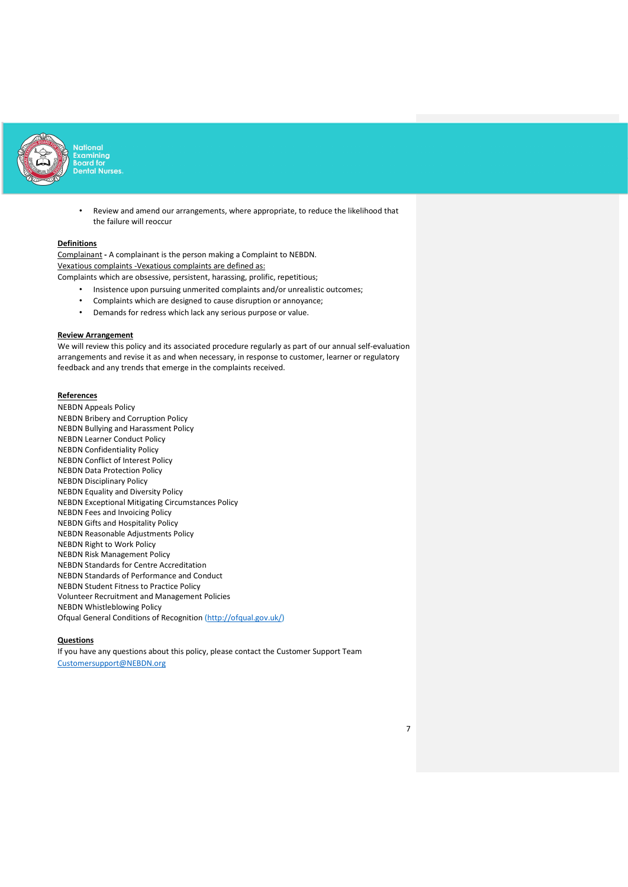

> • Review and amend our arrangements, where appropriate, to reduce the likelihood that the failure will reoccur

#### **Definitions**

Complainant - A complainant is the person making a Complaint to NEBDN. Vexatious complaints -Vexatious complaints are defined as:

Complaints which are obsessive, persistent, harassing, prolific, repetitious;

- Insistence upon pursuing unmerited complaints and/or unrealistic outcomes;
- Complaints which are designed to cause disruption or annoyance;
- Demands for redress which lack any serious purpose or value.

## Review Arrangement

We will review this policy and its associated procedure regularly as part of our annual self-evaluation arrangements and revise it as and when necessary, in response to customer, learner or regulatory feedback and any trends that emerge in the complaints received.

### **References**

NEBDN Appeals Policy NEBDN Bribery and Corruption Policy NEBDN Bullying and Harassment Policy NEBDN Learner Conduct Policy NEBDN Confidentiality Policy NEBDN Conflict of Interest Policy NEBDN Data Protection Policy NEBDN Disciplinary Policy NEBDN Equality and Diversity Policy NEBDN Exceptional Mitigating Circumstances Policy NEBDN Fees and Invoicing Policy NEBDN Gifts and Hospitality Policy NEBDN Reasonable Adjustments Policy NEBDN Right to Work Policy NEBDN Risk Management Policy NEBDN Standards for Centre Accreditation NEBDN Standards of Performance and Conduct NEBDN Student Fitness to Practice Policy Volunteer Recruitment and Management Policies NEBDN Whistleblowing Policy Ofqual General Conditions of Recognition (http://ofqual.gov.uk/)

#### Questions

If you have any questions about this policy, please contact the Customer Support Team Customersupport@NEBDN.org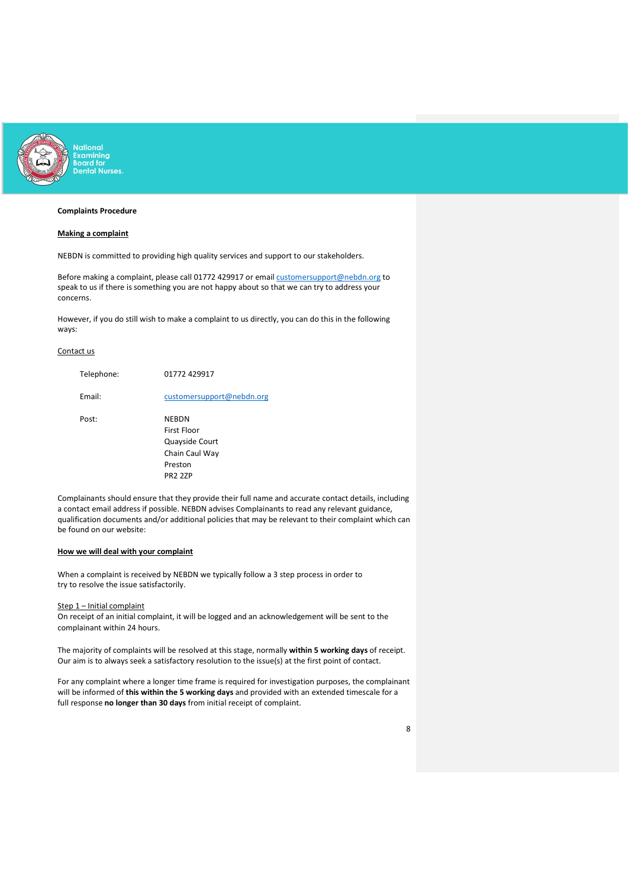

# Complaints Procedure

## Making a complaint

NEBDN is committed to providing high quality services and support to our stakeholders.

Before making a complaint, please call 01772 429917 or email customersupport@nebdn.org to speak to us if there is something you are not happy about so that we can try to address your concerns.<br>Concerns. However, if you do still wish to make a complaint to us directly, you can do this in the following

ways:

# Contact us

| Telephone: | 01772 429917                                                        |
|------------|---------------------------------------------------------------------|
| Email:     | customersupport@nebdn.org                                           |
| Post:      | NEBDN<br>First Floor<br>Quayside Court<br>Chain Caul Way<br>Preston |
|            | <b>PR2 2ZP</b>                                                      |

 Complainants should ensure that they provide their full name and accurate contact details, including a contact email address if possible. NEBDN advises Complainants to read any relevant guidance, qualification documents and/or additional policies that may be relevant to their complaint which can be found on our website:

## How we will deal with your complaint

When a complaint is received by NEBDN we typically follow a 3 step process in order to try to resolve the issue satisfactorily.

Step 1 – Initial complaint

On receipt of an initial complaint, it will be logged and an acknowledgement will be sent to the complainant within 24 hours.

The majority of complaints will be resolved at this stage, normally within 5 working days of receipt. Our aim is to always seek a satisfactory resolution to the issue(s) at the first point of contact.

For any complaint where a longer time frame is required for investigation purposes, the complainant will be informed of this within the 5 working days and provided with an extended timescale for a full response no longer than 30 days from initial receipt of complaint.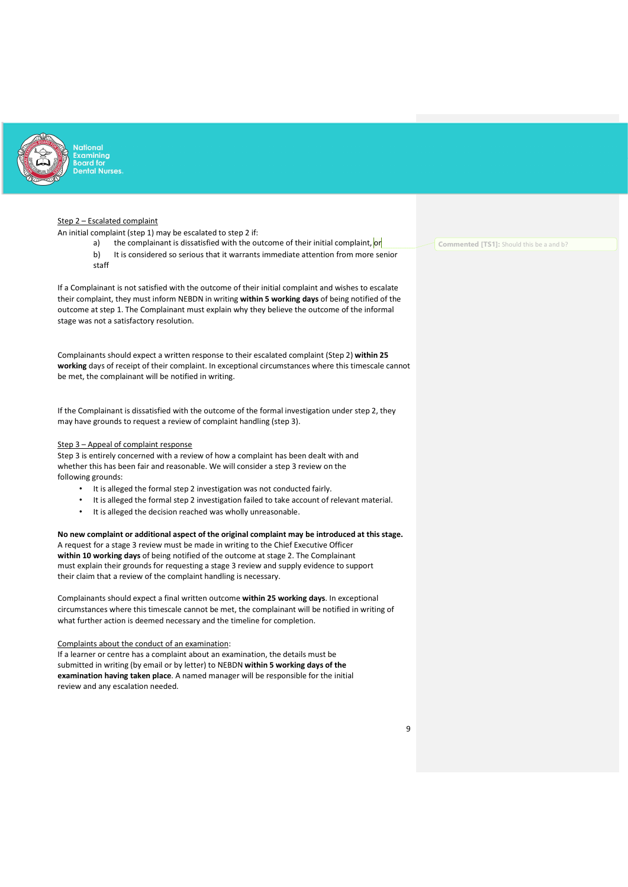

xamining<br>oard for **Intal Nurses** 

# Step 2 - Escalated complaint

An initial complaint (step 1) may be escalated to step 2 if:

- a) the complainant is dissatisfied with the outcome of their initial complaint, or
- b) It is considered so serious that it warrants immediate attention from more senior staff

If a Complainant is not satisfied with the outcome of their initial complaint and wishes to escalate their complaint, they must inform NEBDN in writing within 5 working days of being notified of the outcome at step 1. The Complainant must explain why they believe the outcome of the informal stage was not a satisfactory resolution.

 Complainants should expect a written response to their escalated complaint (Step 2) within 25 working days of receipt of their complaint. In exceptional circumstances where this timescale cannot be met, the complainant will be notified in writing.

# If the Complainant is dissatisfied with the outcome of the formal investigation under step 2, they

may have grounds to request a review of complaint handling (step 3).

#### Step 3 – Appeal of complaint response

Step 3 is entirely concerned with a review of how a complaint has been dealt with and whether this has been fair and reasonable. We will consider a step 3 review on the following grounds:

- It is alleged the formal step 2 investigation was not conducted fairly.
- It is alleged the formal step 2 investigation failed to take account of relevant material.
- It is alleged the decision reached was wholly unreasonable.

# No new complaint or additional aspect of the original complaint may be introduced at this stage.

A request for a stage 3 review must be made in writing to the Chief Executive Officer within 10 working days of being notified of the outcome at stage 2. The Complainant must explain their grounds for requesting a stage 3 review and supply evidence to support their claim that a review of the complaint handling is necessary.

 Complainants should expect a final written outcome within 25 working days. In exceptional circumstances where this timescale cannot be met, the complainant will be notified in writing of what further action is deemed necessary and the timeline for completion.

Complaints about the conduct of an examination:

If a learner or centre has a complaint about an examination, the details must be submitted in writing (by email or by letter) to NEBDN within 5 working days of the examination having taken place. A named manager will be responsible for the initial review and any escalation needed.

Commented [TS1]: Should this be a and b?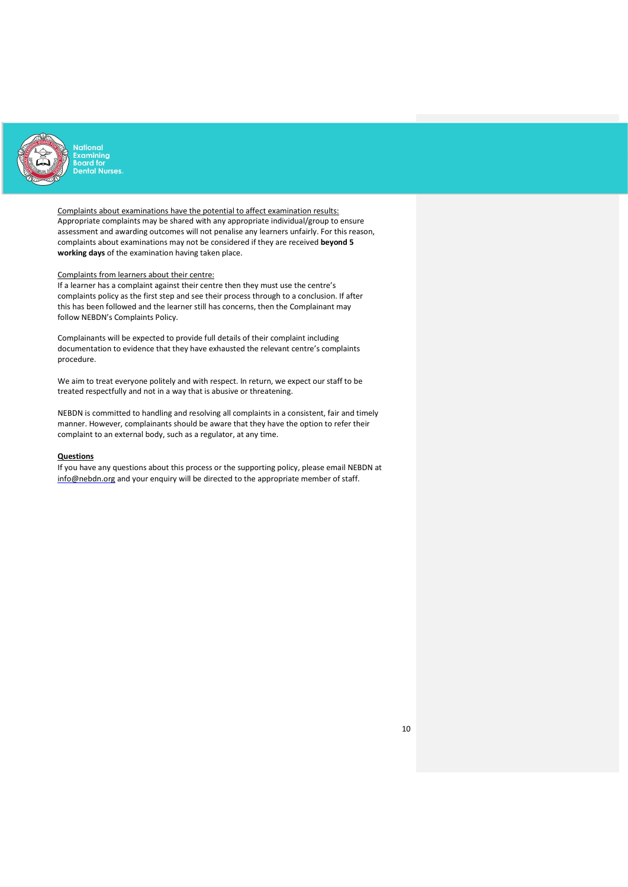

Complaints about examinations have the potential to affect examination results: Appropriate complaints may be shared with any appropriate individual/group to ensure assessment and awarding outcomes will not penalise any learners unfairly. For this reason, complaints about examinations may not be considered if they are received beyond 5 working days of the examination having taken place.

## Complaints from learners about their centre:

If a learner has a complaint against their centre then they must use the centre's complaints policy as the first step and see their process through to a conclusion. If after this has been followed and the learner still has concerns, then the Complainant may follow NEBDN's Complaints Policy.

Complainants will be expected to provide full details of their complaint including documentation to evidence that they have exhausted the relevant centre's complaints procedure.

We aim to treat everyone politely and with respect. In return, we expect our staff to be treated respectfully and not in a way that is abusive or threatening.

 NEBDN is committed to handling and resolving all complaints in a consistent, fair and timely manner. However, complainants should be aware that they have the option to refer their complaint to an external body, such as a regulator, at any time.

#### **Questions**

If you have any questions about this process or the supporting policy, please email NEBDN at info@nebdn.org and your enquiry will be directed to the appropriate member of staff.